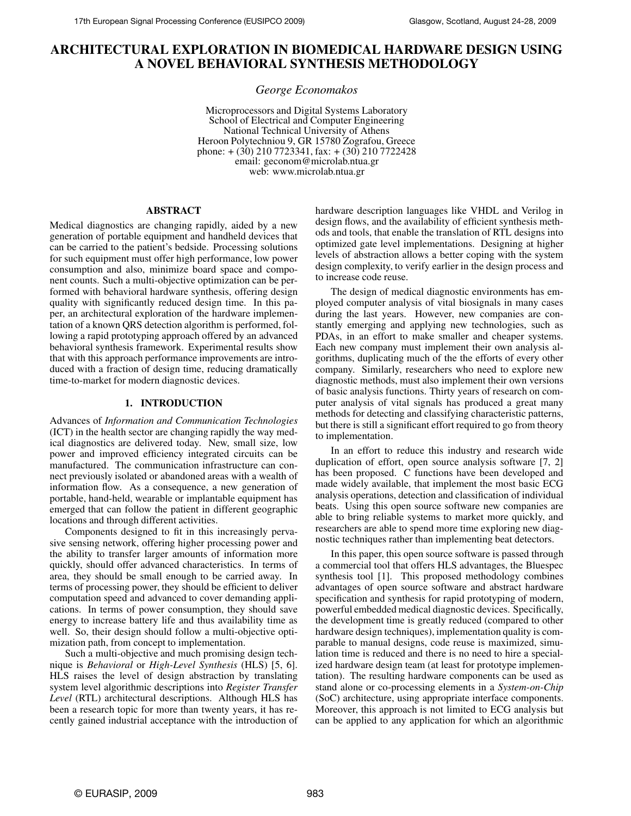# **ARCHITECTURAL EXPLORATION IN BIOMEDICAL HARDWARE DESIGN USING A NOVEL BEHAVIORAL SYNTHESIS METHODOLOGY**

*George Economakos*

Microprocessors and Digital Systems Laboratory School of Electrical and Computer Engineering National Technical University of Athens Heroon Polytechniou 9, GR 15780 Zografou, Greece phone: + (30) 210 7723341, fax: + (30) 210 7722428 email: geconom@microlab.ntua.gr web: www.microlab.ntua.gr

# **ABSTRACT**

Medical diagnostics are changing rapidly, aided by a new generation of portable equipment and handheld devices that can be carried to the patient's bedside. Processing solutions for such equipment must offer high performance, low power consumption and also, minimize board space and component counts. Such a multi-objective optimization can be performed with behavioral hardware synthesis, offering design quality with significantly reduced design time. In this paper, an architectural exploration of the hardware implementation of a known QRS detection algorithm is performed, following a rapid prototyping approach offered by an advanced behavioral synthesis framework. Experimental results show that with this approach performance improvements are introduced with a fraction of design time, reducing dramatically time-to-market for modern diagnostic devices.

# **1. INTRODUCTION**

Advances of *Information and Communication Technologies* (ICT) in the health sector are changing rapidly the way medical diagnostics are delivered today. New, small size, low power and improved efficiency integrated circuits can be manufactured. The communication infrastructure can connect previously isolated or abandoned areas with a wealth of information flow. As a consequence, a new generation of portable, hand-held, wearable or implantable equipment has emerged that can follow the patient in different geographic locations and through different activities.

Components designed to fit in this increasingly pervasive sensing network, offering higher processing power and the ability to transfer larger amounts of information more quickly, should offer advanced characteristics. In terms of area, they should be small enough to be carried away. In terms of processing power, they should be efficient to deliver computation speed and advanced to cover demanding applications. In terms of power consumption, they should save energy to increase battery life and thus availability time as well. So, their design should follow a multi-objective optimization path, from concept to implementation.

Such a multi-objective and much promising design technique is *Behavioral* or *High-Level Synthesis* (HLS) [5, 6]. HLS raises the level of design abstraction by translating system level algorithmic descriptions into *Register Transfer Level* (RTL) architectural descriptions. Although HLS has been a research topic for more than twenty years, it has recently gained industrial acceptance with the introduction of

hardware description languages like VHDL and Verilog in design flows, and the availability of efficient synthesis methods and tools, that enable the translation of RTL designs into optimized gate level implementations. Designing at higher levels of abstraction allows a better coping with the system design complexity, to verify earlier in the design process and to increase code reuse.

The design of medical diagnostic environments has employed computer analysis of vital biosignals in many cases during the last years. However, new companies are constantly emerging and applying new technologies, such as PDAs, in an effort to make smaller and cheaper systems. Each new company must implement their own analysis algorithms, duplicating much of the the efforts of every other company. Similarly, researchers who need to explore new diagnostic methods, must also implement their own versions of basic analysis functions. Thirty years of research on computer analysis of vital signals has produced a great many methods for detecting and classifying characteristic patterns, but there is still a significant effort required to go from theory to implementation.

In an effort to reduce this industry and research wide duplication of effort, open source analysis software [7, 2] has been proposed. C functions have been developed and made widely available, that implement the most basic ECG analysis operations, detection and classification of individual beats. Using this open source software new companies are able to bring reliable systems to market more quickly, and researchers are able to spend more time exploring new diagnostic techniques rather than implementing beat detectors.

In this paper, this open source software is passed through a commercial tool that offers HLS advantages, the Bluespec synthesis tool [1]. This proposed methodology combines advantages of open source software and abstract hardware specification and synthesis for rapid prototyping of modern, powerful embedded medical diagnostic devices. Specifically, the development time is greatly reduced (compared to other hardware design techniques), implementation quality is comparable to manual designs, code reuse is maximized, simulation time is reduced and there is no need to hire a specialized hardware design team (at least for prototype implementation). The resulting hardware components can be used as stand alone or co-processing elements in a *System-on-Chip* (SoC) architecture, using appropriate interface components. Moreover, this approach is not limited to ECG analysis but can be applied to any application for which an algorithmic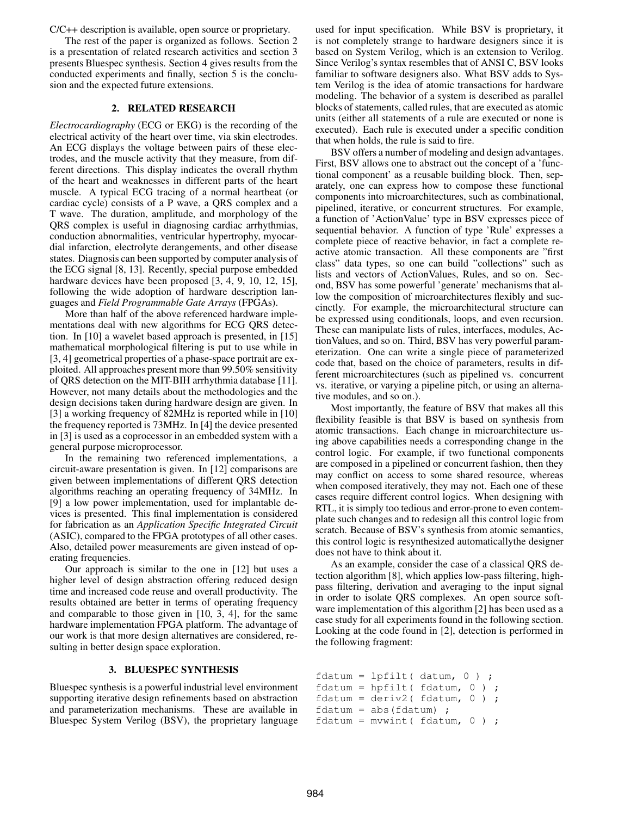C/C++ description is available, open source or proprietary.

The rest of the paper is organized as follows. Section 2 is a presentation of related research activities and section 3 presents Bluespec synthesis. Section 4 gives results from the conducted experiments and finally, section 5 is the conclusion and the expected future extensions.

## **2. RELATED RESEARCH**

*Electrocardiography* (ECG or EKG) is the recording of the electrical activity of the heart over time, via skin electrodes. An ECG displays the voltage between pairs of these electrodes, and the muscle activity that they measure, from different directions. This display indicates the overall rhythm of the heart and weaknesses in different parts of the heart muscle. A typical ECG tracing of a normal heartbeat (or cardiac cycle) consists of a P wave, a QRS complex and a T wave. The duration, amplitude, and morphology of the QRS complex is useful in diagnosing cardiac arrhythmias, conduction abnormalities, ventricular hypertrophy, myocardial infarction, electrolyte derangements, and other disease states. Diagnosis can been supported by computer analysis of the ECG signal [8, 13]. Recently, special purpose embedded hardware devices have been proposed [3, 4, 9, 10, 12, 15], following the wide adoption of hardware description languages and *Field Programmable Gate Arrays* (FPGAs).

More than half of the above referenced hardware implementations deal with new algorithms for ECG QRS detection. In [10] a wavelet based approach is presented, in [15] mathematical morphological filtering is put to use while in [3, 4] geometrical properties of a phase-space portrait are exploited. All approaches present more than 99.50% sensitivity of QRS detection on the MIT-BIH arrhythmia database [11]. However, not many details about the methodologies and the design decisions taken during hardware design are given. In [3] a working frequency of 82MHz is reported while in [10] the frequency reported is 73MHz. In [4] the device presented in [3] is used as a coprocessor in an embedded system with a general purpose microprocessor.

In the remaining two referenced implementations, a circuit-aware presentation is given. In [12] comparisons are given between implementations of different QRS detection algorithms reaching an operating frequency of 34MHz. In [9] a low power implementation, used for implantable devices is presented. This final implementation is considered for fabrication as an *Application Specific Integrated Circuit* (ASIC), compared to the FPGA prototypes of all other cases. Also, detailed power measurements are given instead of operating frequencies.

Our approach is similar to the one in [12] but uses a higher level of design abstraction offering reduced design time and increased code reuse and overall productivity. The results obtained are better in terms of operating frequency and comparable to those given in [10, 3, 4], for the same hardware implementation FPGA platform. The advantage of our work is that more design alternatives are considered, resulting in better design space exploration.

### **3. BLUESPEC SYNTHESIS**

Bluespec synthesis is a powerful industrial level environment supporting iterative design refinements based on abstraction and parameterization mechanisms. These are available in Bluespec System Verilog (BSV), the proprietary language used for input specification. While BSV is proprietary, it is not completely strange to hardware designers since it is based on System Verilog, which is an extension to Verilog. Since Verilog's syntax resembles that of ANSI C, BSV looks familiar to software designers also. What BSV adds to System Verilog is the idea of atomic transactions for hardware modeling. The behavior of a system is described as parallel blocks of statements, called rules, that are executed as atomic units (either all statements of a rule are executed or none is executed). Each rule is executed under a specific condition that when holds, the rule is said to fire.

BSV offers a number of modeling and design advantages. First, BSV allows one to abstract out the concept of a 'functional component' as a reusable building block. Then, separately, one can express how to compose these functional components into microarchitectures, such as combinational, pipelined, iterative, or concurrent structures. For example, a function of 'ActionValue' type in BSV expresses piece of sequential behavior. A function of type 'Rule' expresses a complete piece of reactive behavior, in fact a complete reactive atomic transaction. All these components are "first class" data types, so one can build "collections" such as lists and vectors of ActionValues, Rules, and so on. Second, BSV has some powerful 'generate' mechanisms that allow the composition of microarchitectures flexibly and succinctly. For example, the microarchitectural structure can be expressed using conditionals, loops, and even recursion. These can manipulate lists of rules, interfaces, modules, ActionValues, and so on. Third, BSV has very powerful parameterization. One can write a single piece of parameterized code that, based on the choice of parameters, results in different microarchitectures (such as pipelined vs. concurrent vs. iterative, or varying a pipeline pitch, or using an alternative modules, and so on.).

Most importantly, the feature of BSV that makes all this flexibility feasible is that BSV is based on synthesis from atomic transactions. Each change in microarchitecture using above capabilities needs a corresponding change in the control logic. For example, if two functional components are composed in a pipelined or concurrent fashion, then they may conflict on access to some shared resource, whereas when composed iteratively, they may not. Each one of these cases require different control logics. When designing with RTL, it is simply too tedious and error-prone to even contemplate such changes and to redesign all this control logic from scratch. Because of BSV's synthesis from atomic semantics, this control logic is resynthesized automaticallythe designer does not have to think about it.

As an example, consider the case of a classical QRS detection algorithm [8], which applies low-pass filtering, highpass filtering, derivation and averaging to the input signal in order to isolate QRS complexes. An open source software implementation of this algorithm [2] has been used as a case study for all experiments found in the following section. Looking at the code found in [2], detection is performed in the following fragment:

```
fdatum = lpfilt( datum, 0);
fdatum = hpfilt( fdatum, 0 );
fdatum = deriv2(fdatum, 0);
fdatum = abs(fdatum) ;
fdatum = mvwint (fdatum, 0);
```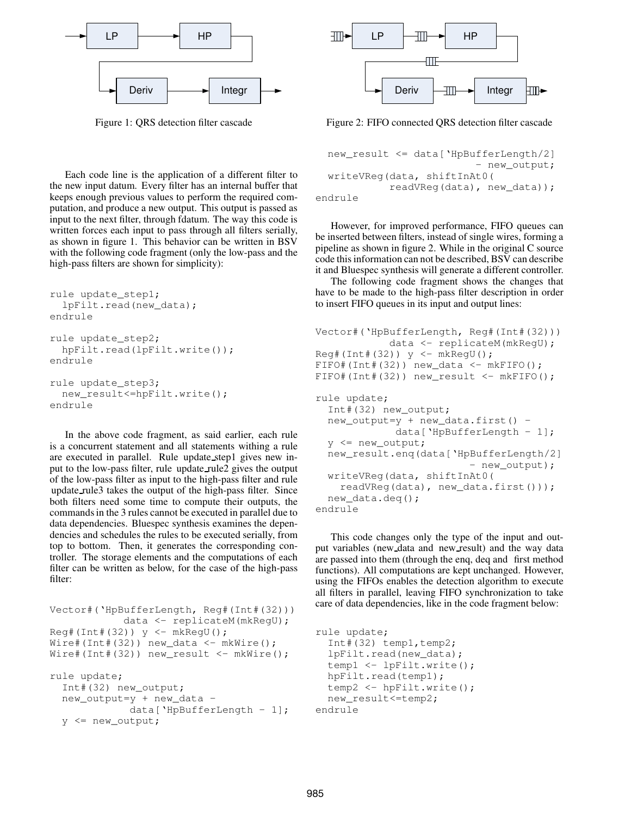

Figure 1: QRS detection filter cascade

Each code line is the application of a different filter to the new input datum. Every filter has an internal buffer that keeps enough previous values to perform the required computation, and produce a new output. This output is passed as input to the next filter, through fdatum. The way this code is written forces each input to pass through all filters serially, as shown in figure 1. This behavior can be written in BSV with the following code fragment (only the low-pass and the high-pass filters are shown for simplicity):

```
rule update_step1;
 lpFilt.read(new_data);
endrule
rule update_step2;
 hpFilt.read(lpFilt.write());
endrule
rule update_step3;
 new_result<=hpFilt.write();
endrule
```
In the above code fragment, as said earlier, each rule is a concurrent statement and all statements withing a rule are executed in parallel. Rule update step1 gives new input to the low-pass filter, rule update rule2 gives the output of the low-pass filter as input to the high-pass filter and rule update rule3 takes the output of the high-pass filter. Since both filters need some time to compute their outputs, the commandsin the 3 rules cannot be executed in parallel due to data dependencies. Bluespec synthesis examines the dependencies and schedules the rules to be executed serially, from top to bottom. Then, it generates the corresponding controller. The storage elements and the computations of each filter can be written as below, for the case of the high-pass filter:

```
Vector#('HpBufferLength, Reg#(Int#(32)))
            data <- replicateM(mkReqU);
Reg#(Int#(32)) y <- mkRegU();
Wire#(Int#(32)) new_data \leq mkWire();
Wire#(Int#(32)) new_result <- mkWire();
rule update;
  Int#(32) new_output;
  new output=y + new data -
             data['HpBufferLength - 1];
  y <= new_output;
```


Figure 2: FIFO connected QRS detection filter cascade

```
new_result <= data['HpBufferLength/2]
                           - new_output;
  writeVReg(data, shiftInAt0(
            readVReg(data), new_data));
endrule
```
However, for improved performance, FIFO queues can be inserted between filters, instead of single wires, forming a pipeline as shown in figure 2. While in the original C source code this information can not be described, BSV can describe it and Bluespec synthesis will generate a different controller.

The following code fragment shows the changes that have to be made to the high-pass filter description in order to insert FIFO queues in its input and output lines:

```
Vector#('HpBufferLength, Reg#(Int#(32)))
            data <- replicateM(mkReqU);
Reg#(Int#(32)) y <- mkRegU();
FIFO#(Int#(32)) new_data <- mkFIFO();
FIFO#(Int#(32)) new_result \leq mkFIFO();
rule update;
  Int#(32) new_output;
  new_output=y + new_data.first() -
             data['HpBufferLength - 1];
  y \leq new_{output};
  new_result.enq(data['HpBufferLength/2]
                          - new_output);
  writeVReg(data, shiftInAt0(
    readVReg(data), new_data.first()));
  new_data.deq();
endrule
```
This code changes only the type of the input and output variables (new data and new result) and the way data are passed into them (through the enq, deq and first method functions). All computations are kept unchanged. However, using the FIFOs enables the detection algorithm to execute all filters in parallel, leaving FIFO synchronization to take care of data dependencies, like in the code fragment below:

```
rule update;
  Int#(32) temp1,temp2;
  lpFilt.read(new_data);
  temp1 <- lpFilt.write();
 hpFilt.read(temp1);
  temp2 <- hpFilt.write();
 new_result<=temp2;
endrule
```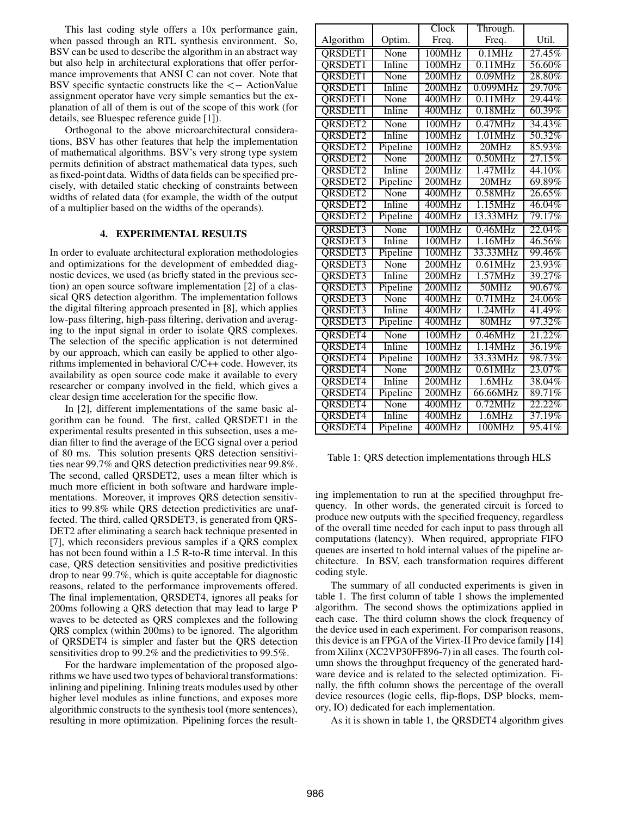This last coding style offers a 10x performance gain, when passed through an RTL synthesis environment. So, BSV can be used to describe the algorithm in an abstract way but also help in architectural explorations that offer performance improvements that ANSI C can not cover. Note that BSV specific syntactic constructs like the  $\lt$  - ActionValue assignment operator have very simple semantics but the explanation of all of them is out of the scope of this work (for details, see Bluespec reference guide [1]).

Orthogonal to the above microarchitectural considerations, BSV has other features that help the implementation of mathematical algorithms. BSV's very strong type system permits definition of abstract mathematical data types, such as fixed-point data. Widths of data fields can be specified precisely, with detailed static checking of constraints between widths of related data (for example, the width of the output of a multiplier based on the widths of the operands).

#### **4. EXPERIMENTAL RESULTS**

In order to evaluate architectural exploration methodologies and optimizations for the development of embedded diagnostic devices, we used (as briefly stated in the previous section) an open source software implementation [2] of a classical QRS detection algorithm. The implementation follows the digital filtering approach presented in [8], which applies low-pass filtering, high-pass filtering, derivation and averaging to the input signal in order to isolate QRS complexes. The selection of the specific application is not determined by our approach, which can easily be applied to other algorithms implemented in behavioral C/C++ code. However, its availability as open source code make it available to every researcher or company involved in the field, which gives a clear design time acceleration for the specific flow.

In [2], different implementations of the same basic algorithm can be found. The first, called QRSDET1 in the experimental results presented in this subsection, uses a median filter to find the average of the ECG signal over a period of 80 ms. This solution presents QRS detection sensitivities near 99.7% and QRS detection predictivities near 99.8%. The second, called QRSDET2, uses a mean filter which is much more efficient in both software and hardware implementations. Moreover, it improves QRS detection sensitivities to 99.8% while QRS detection predictivities are unaffected. The third, called QRSDET3, is generated from QRS-DET2 after eliminating a search back technique presented in [7], which reconsiders previous samples if a QRS complex has not been found within a 1.5 R-to-R time interval. In this case, QRS detection sensitivities and positive predictivities drop to near 99.7%, which is quite acceptable for diagnostic reasons, related to the performance improvements offered. The final implementation, QRSDET4, ignores all peaks for 200ms following a QRS detection that may lead to large P waves to be detected as QRS complexes and the following QRS complex (within 200ms) to be ignored. The algorithm of QRSDET4 is simpler and faster but the QRS detection sensitivities drop to 99.2% and the predictivities to 99.5%.

For the hardware implementation of the proposed algorithms we have used two types of behavioral transformations: inlining and pipelining. Inlining treats modules used by other higher level modules as inline functions, and exposes more algorithmic constructs to the synthesis tool (more sentences), resulting in more optimization. Pipelining forces the result-

|                |               | Clock     | Through.      |           |
|----------------|---------------|-----------|---------------|-----------|
| Algorithm      | Optim.        | Freq.     | Freq.         | Util.     |
| QRSDET1        | None          | 100MHz    | $0.1$ MHz     | 27.45%    |
| QRSDET1        | Inline        | 100MHz    | $0.11$ MHz    | 56.60%    |
| QRSDET1        | None          | 200MHz    | 0.09MHz       | 28.80%    |
| <b>ORSDET1</b> | Inline        | 200MHz    | 0.099MHz      | 29.70%    |
| QRSDET1        | None          | 400MHz    | $0.11$ MHz    | 29.44%    |
| QRSDET1        | Inline        | 400MHz    | $0.18$ MHz    | $60.39\%$ |
| QRSDET2        | None          | 100MHz    | $0.47$ MHz    | 34.43%    |
| QRSDET2        | Inline        | 100MHz    | 1.01MHz       | 50.32%    |
| QRSDET2        | Pipeline      | 100MHz    | 20MHz         | 85.93%    |
| <b>ORSDET2</b> | None          | 200MHz    | 0.50MHz       | 27.15%    |
| QRSDET2        | Inline        | 200MHz    | 1.47MHz       | 44.10%    |
| QRSDET2        | Pipeline      | 200MHz    | 20MHz         | 69.89%    |
| QRSDET2        | None          | 400MHz    | 0.58MHz       | 26.65%    |
| <b>ORSDET2</b> | Inline        | 400MHz    | 1.15MHz       | 46.04%    |
| QRSDET2        | Pipeline      | 400MHz    | 13.33MHz      | 79.17%    |
| ORSDET3        | None          | 100MHz    | 0.46MHz       | 22.04%    |
| QRSDET3        | <b>Inline</b> | 100MHz    | $1.16$ M $Hz$ | 46.56%    |
| <b>ORSDET3</b> | Pipeline      | 100MHz    | 33.33MHz      | 99.46%    |
| QRSDET3        | None          | 200MHz    | $0.61$ MHz    | 23.93%    |
| QRSDET3        | Inline        | 200MHz    | 1.57MHz       | 39.27%    |
| QRSDET3        | Pipeline      | 200MHz    | 50MHz         | 90.67%    |
| QRSDET3        | None          | 400MHz    | $0.71$ MHz    | 24.06%    |
| QRSDET3        | Inline        | 400MHz    | 1.24MHz       | 41.49%    |
| QRSDET3        | Pipeline      | 400MHz    | 80MHz         | 97.32%    |
| ORSDET4        | None          | 100MHz    | $0.46$ MHz    | 21.22%    |
| ORSDET4        | Inline        | 100MHz    | 1.14MHz       | 36.19%    |
| QRSDET4        | Pipeline      | 100MHz    | 33.33MHz      | 98.73%    |
| QRSDET4        | None          | 200MHz    | $0.61$ MHz    | 23.07%    |
| <b>QRSDET4</b> | Inline        | $200$ MHz | 1.6MHz        | 38.04%    |
| QRSDET4        | Pipeline      | 200MHz    | 66.66MHz      | 89.71%    |
| QRSDET4        | None          | 400MHz    | $0.72$ MHz    | 22.22%    |
| QRSDET4        | Inline        | 400MHz    | 1.6MHz        | 37.19%    |
| QRSDET4        | Pipeline      | 400MHz    | 100MHz        | 95.41%    |

Table 1: QRS detection implementations through HLS

ing implementation to run at the specified throughput frequency. In other words, the generated circuit is forced to produce new outputs with the specified frequency, regardless of the overall time needed for each input to pass through all computations (latency). When required, appropriate FIFO queues are inserted to hold internal values of the pipeline architecture. In BSV, each transformation requires different coding style.

The summary of all conducted experiments is given in table 1. The first column of table 1 shows the implemented algorithm. The second shows the optimizations applied in each case. The third column shows the clock frequency of the device used in each experiment. For comparison reasons, this device is an FPGA of the Virtex-II Pro device family [14] from Xilinx (XC2VP30FF896-7) in all cases. The fourth column shows the throughput frequency of the generated hardware device and is related to the selected optimization. Finally, the fifth column shows the percentage of the overall device resources (logic cells, flip-flops, DSP blocks, memory, IO) dedicated for each implementation.

As it is shown in table 1, the QRSDET4 algorithm gives